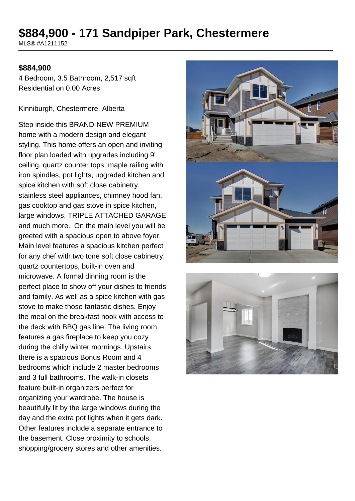# **\$884,900 - 171 Sandpiper Park, Chestermere**

MLS® #A1211152

#### **\$884,900**

4 Bedroom, 3.5 Bathroom, 2,517 sqft Residential on 0.00 Acres

Kinniburgh, Chestermere, Alberta

Step inside this BRAND-NEW PREMIUM home with a modern design and elegant styling. This home offers an open and inviting floor plan loaded with upgrades including 9' ceiling, quartz counter tops, maple railing with iron spindles, pot lights, upgraded kitchen and spice kitchen with soft close cabinetry, stainless steel appliances, chimney hood fan, gas cooktop and gas stove in spice kitchen, large windows, TRIPLE ATTACHED GARAGE and much more. On the main level you will be greeted with a spacious open to above foyer. Main level features a spacious kitchen perfect for any chef with two tone soft close cabinetry, quartz countertops, built-in oven and microwave. A formal dinning room is the perfect place to show off your dishes to friends and family. As well as a spice kitchen with gas stove to make those fantastic dishes. Enjoy the meal on the breakfast nook with access to the deck with BBQ gas line. The living room features a gas fireplace to keep you cozy during the chilly winter mornings. Upstairs there is a spacious Bonus Room and 4 bedrooms which include 2 master bedrooms and 3 full bathrooms. The walk-in closets feature built-in organizers perfect for organizing your wardrobe. The house is beautifully lit by the large windows during the day and the extra pot lights when it gets dark. Other features include a separate entrance to the basement. Close proximity to schools, shopping/grocery stores and other amenities.



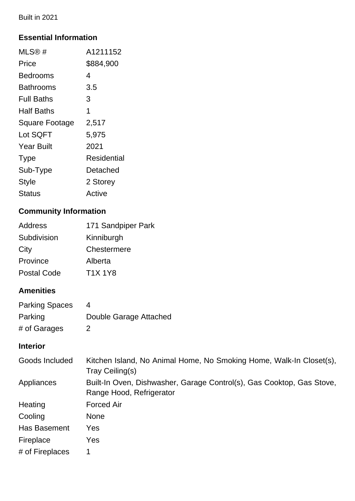Built in 2021

## **Essential Information**

| MLS@#                 | A1211152    |
|-----------------------|-------------|
| Price                 | \$884,900   |
| Bedrooms              | 4           |
| <b>Bathrooms</b>      | 3.5         |
| Full Baths            | 3           |
| Half Baths            | 1           |
| <b>Square Footage</b> | 2,517       |
| Lot SQFT              | 5,975       |
| <b>Year Built</b>     | 2021        |
| <b>Type</b>           | Residential |
| Sub-Type              | Detached    |
| <b>Style</b>          | 2 Storey    |
| Status                | Active      |

## **Community Information**

| <b>Address</b>     | 171 Sandpiper Park |
|--------------------|--------------------|
| Subdivision        | Kinniburgh         |
| City               | Chestermere        |
| Province           | Alberta            |
| <b>Postal Code</b> | <b>T1X 1Y8</b>     |

## **Amenities**

| <b>Parking Spaces</b> |                        |
|-----------------------|------------------------|
| Parking               | Double Garage Attached |
| # of Garages          | 2                      |

## **Interior**

| Goods Included  | Kitchen Island, No Animal Home, No Smoking Home, Walk-In Closet(s),<br>Tray Ceiling(s)            |
|-----------------|---------------------------------------------------------------------------------------------------|
| Appliances      | Built-In Oven, Dishwasher, Garage Control(s), Gas Cooktop, Gas Stove,<br>Range Hood, Refrigerator |
| Heating         | <b>Forced Air</b>                                                                                 |
| Cooling         | <b>None</b>                                                                                       |
| Has Basement    | Yes                                                                                               |
| Fireplace       | Yes                                                                                               |
| # of Fireplaces |                                                                                                   |